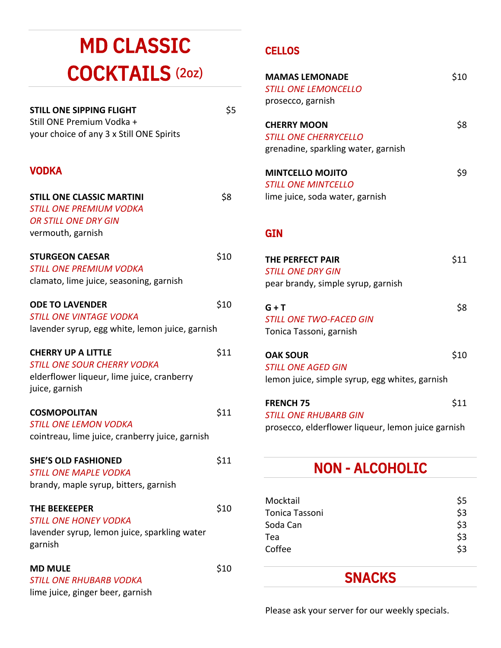# MD CLASSIC COCKTAILS (2oz)

| <b>STILL ONE SIPPING FLIGHT</b>          | \$5 |
|------------------------------------------|-----|
| Still ONE Premium Vodka +                |     |
| your choice of any 3 x Still ONE Spirits |     |

### VODKA

| <b>STILL ONE CLASSIC MARTINI</b>                | \$8  |
|-------------------------------------------------|------|
| <b>STILL ONE PREMIUM VODKA</b>                  |      |
| <b>OR STILL ONE DRY GIN</b>                     |      |
| vermouth, garnish                               |      |
| <b>STURGEON CAESAR</b>                          | \$10 |
| <b>STILL ONE PREMIUM VODKA</b>                  |      |
| clamato, lime juice, seasoning, garnish         |      |
| <b>ODE TO LAVENDER</b>                          | \$10 |
| <b>STILL ONE VINTAGE VODKA</b>                  |      |
| lavender syrup, egg white, lemon juice, garnish |      |
| <b>CHERRY UP A LITTLE</b>                       | \$11 |
| <b>STILL ONE SOUR CHERRY VODKA</b>              |      |
| elderflower liqueur, lime juice, cranberry      |      |
| juice, garnish                                  |      |
| <b>COSMOPOLITAN</b>                             | \$11 |
| <b>STILL ONE LEMON VODKA</b>                    |      |
| cointreau, lime juice, cranberry juice, garnish |      |
| <b>SHE'S OLD FASHIONED</b>                      | \$11 |
| <b>STILL ONE MAPLE VODKA</b>                    |      |
| brandy, maple syrup, bitters, garnish           |      |
| <b>THE BEEKEEPER</b>                            | \$10 |
| <b>STILL ONE HONEY VODKA</b>                    |      |
| lavender syrup, lemon juice, sparkling water    |      |
| garnish                                         |      |
| <b>MD MULE</b>                                  | \$10 |
| <b>STILL ONE RHUBARB VODKA</b>                  |      |
| lime juice, ginger beer, garnish                |      |

### **CELLOS**

| <b>MAMAS LEMONADE</b><br><b>STILL ONE LEMONCELLO</b><br>prosecco, garnish                 | \$10 |
|-------------------------------------------------------------------------------------------|------|
| <b>CHERRY MOON</b><br><i>STILL ONE CHERRYCELLO</i><br>grenadine, sparkling water, garnish | \$8  |
| <b>MINTCELLO MOJITO</b><br><b>STILL ONE MINTCELLO</b><br>lime juice, soda water, garnish  | \$9  |
| <b>GIN</b>                                                                                |      |
| <b>THE PERFECT PAIR</b><br><b>STILL ONE DRY GIN</b><br>pear brandy, simple syrup, garnish | \$11 |
| $G + T$<br><i><b>STILL ONE TWO-FACED GIN</b></i>                                          | \$8  |
| Tonica Tassoni, garnish                                                                   |      |

| <b>STILL ONE AGED GIN</b>                      |  |
|------------------------------------------------|--|
| lemon juice, simple syrup, egg whites, garnish |  |

| <b>FRENCH 75</b>                                   | \$11 |
|----------------------------------------------------|------|
| <b>STILL ONE RHUBARB GIN</b>                       |      |
| prosecco, elderflower liqueur, lemon juice garnish |      |

## NON - ALCOHOLIC

| Mocktail       | S5  |
|----------------|-----|
| Tonica Tassoni | \$3 |
| Soda Can       | \$3 |
| Tea            | \$3 |
| Coffee         | \$3 |

## SNACKS

Please ask your server for our weekly specials.